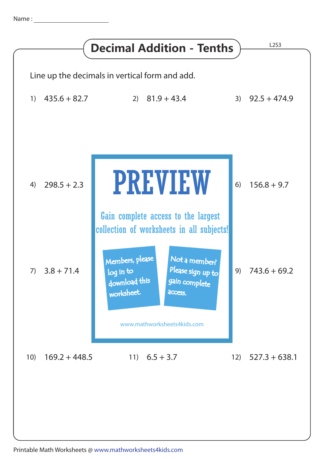